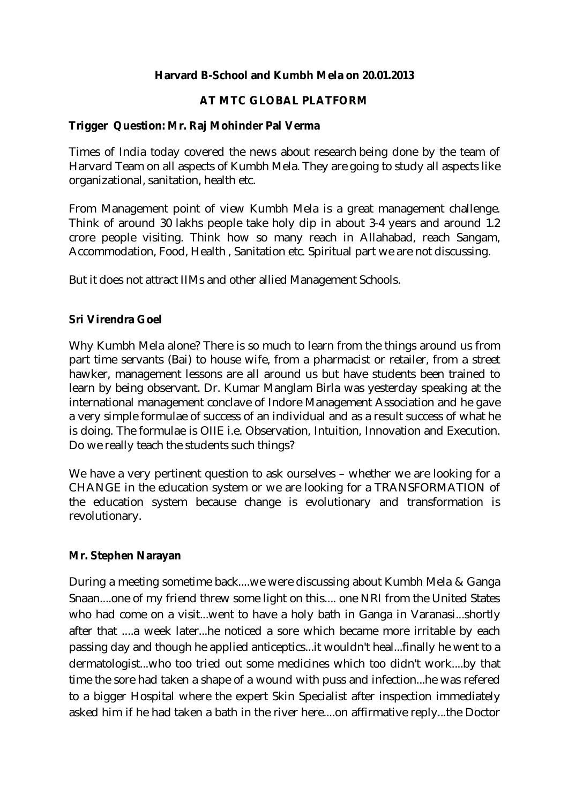### **Harvard B-School and Kumbh Mela on 20.01.2013**

### **AT MTC GLOBAL PLATFORM**

#### **Trigger Question: Mr. Raj Mohinder Pal Verma**

Times of India today covered the news about research being done by the team of Harvard Team on all aspects of Kumbh Mela. They are going to study all aspects like organizational, sanitation, health etc.

From Management point of view Kumbh Mela is a great management challenge. Think of around 30 lakhs people take holy dip in about 3-4 years and around 1.2 crore people visiting. Think how so many reach in Allahabad, reach Sangam, Accommodation, Food, Health , Sanitation etc. Spiritual part we are not discussing.

But it does not attract IIMs and other allied Management Schools.

### **Sri Virendra Goel**

Why Kumbh Mela alone? There is so much to learn from the things around us from part time servants (Bai) to house wife, from a pharmacist or retailer, from a street hawker, management lessons are all around us but have students been trained to learn by being observant. Dr. Kumar Manglam Birla was yesterday speaking at the international management conclave of Indore Management Association and he gave a very simple formulae of success of an individual and as a result success of what he is doing. The formulae is OIIE i.e. Observation, Intuition, Innovation and Execution. Do we really teach the students such things?

We have a very pertinent question to ask ourselves – whether we are looking for a CHANGE in the education system or we are looking for a TRANSFORMATION of the education system because change is evolutionary and transformation is revolutionary.

#### **Mr. Stephen Narayan**

During a meeting sometime back....we were discussing about Kumbh Mela & Ganga Snaan....one of my friend threw some light on this.... one NRI from the United States who had come on a visit...went to have a holy bath in Ganga in Varanasi...shortly after that ....a week later...he noticed a sore which became more irritable by each passing day and though he applied anticeptics...it wouldn't heal...finally he went to a dermatologist...who too tried out some medicines which too didn't work....by that time the sore had taken a shape of a wound with puss and infection...he was refered to a bigger Hospital where the expert Skin Specialist after inspection immediately asked him if he had taken a bath in the river here....on affirmative reply...the Doctor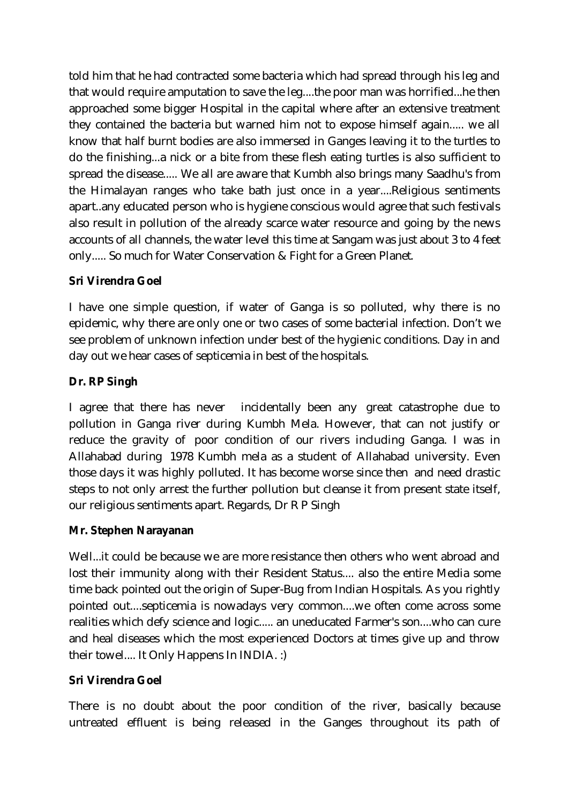told him that he had contracted some bacteria which had spread through his leg and that would require amputation to save the leg....the poor man was horrified...he then approached some bigger Hospital in the capital where after an extensive treatment they contained the bacteria but warned him not to expose himself again..... we all know that half burnt bodies are also immersed in Ganges leaving it to the turtles to do the finishing...a nick or a bite from these flesh eating turtles is also sufficient to spread the disease..... We all are aware that Kumbh also brings many Saadhu's from the Himalayan ranges who take bath just once in a year....Religious sentiments apart..any educated person who is hygiene conscious would agree that such festivals also result in pollution of the already scarce water resource and going by the news accounts of all channels, the water level this time at Sangam was just about 3 to 4 feet only..... So much for Water Conservation & Fight for a Green Planet.

# **Sri Virendra Goel**

I have one simple question, if water of Ganga is so polluted, why there is no epidemic, why there are only one or two cases of some bacterial infection. Don't we see problem of unknown infection under best of the hygienic conditions. Day in and day out we hear cases of septicemia in best of the hospitals.

# **Dr. RP Singh**

I agree that there has never incidentally been any great catastrophe due to pollution in Ganga river during Kumbh Mela. However, that can not justify or reduce the gravity of poor condition of our rivers including Ganga. I was in Allahabad during 1978 Kumbh mela as a student of Allahabad university. Even those days it was highly polluted. It has become worse since then and need drastic steps to not only arrest the further pollution but cleanse it from present state itself, our religious sentiments apart. Regards, Dr R P Singh

## **Mr. Stephen Narayanan**

Well...it could be because we are more resistance then others who went abroad and lost their immunity along with their Resident Status.... also the entire Media some time back pointed out the origin of Super-Bug from Indian Hospitals. As you rightly pointed out....septicemia is nowadays very common....we often come across some realities which defy science and logic..... an uneducated Farmer's son....who can cure and heal diseases which the most experienced Doctors at times give up and throw their towel.... It Only Happens In INDIA. :)

## **Sri Virendra Goel**

There is no doubt about the poor condition of the river, basically because untreated effluent is being released in the Ganges throughout its path of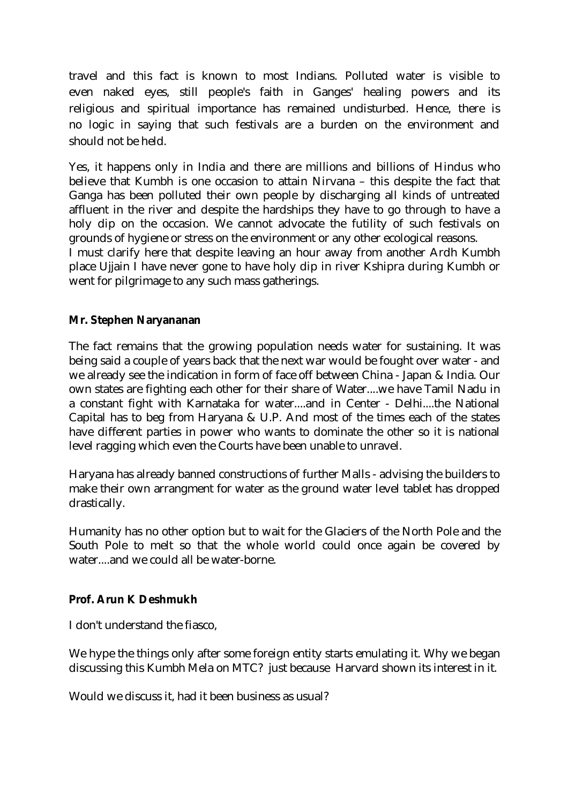travel and this fact is known to most Indians. Polluted water is visible to even naked eyes, still people's faith in Ganges' healing powers and its religious and spiritual importance has remained undisturbed. Hence, there is no logic in saying that such festivals are a burden on the environment and should not be held.

Yes, it happens only in India and there are millions and billions of Hindus who believe that Kumbh is one occasion to attain Nirvana – this despite the fact that Ganga has been polluted their own people by discharging all kinds of untreated affluent in the river and despite the hardships they have to go through to have a holy dip on the occasion. We cannot advocate the futility of such festivals on grounds of hygiene or stress on the environment or any other ecological reasons. I must clarify here that despite leaving an hour away from another Ardh Kumbh place Ujjain I have never gone to have holy dip in river Kshipra during Kumbh or went for pilgrimage to any such mass gatherings.

### **Mr. Stephen Naryananan**

The fact remains that the growing population needs water for sustaining. It was being said a couple of years back that the next war would be fought over water - and we already see the indication in form of face off between China - Japan & India. Our own states are fighting each other for their share of Water....we have Tamil Nadu in a constant fight with Karnataka for water....and in Center - Delhi....the National Capital has to beg from Haryana & U.P. And most of the times each of the states have different parties in power who wants to dominate the other so it is national level ragging which even the Courts have been unable to unravel.

Haryana has already banned constructions of further Malls - advising the builders to make their own arrangment for water as the ground water level tablet has dropped drastically.

Humanity has no other option but to wait for the Glaciers of the North Pole and the South Pole to melt so that the whole world could once again be covered by water....and we could all be water-borne.

### **Prof. Arun K Deshmukh**

I don't understand the fiasco,

We hype the things only after some foreign entity starts emulating it. Why we began discussing this Kumbh Mela on MTC? just because Harvard shown its interest in it.

Would we discuss it, had it been business as usual?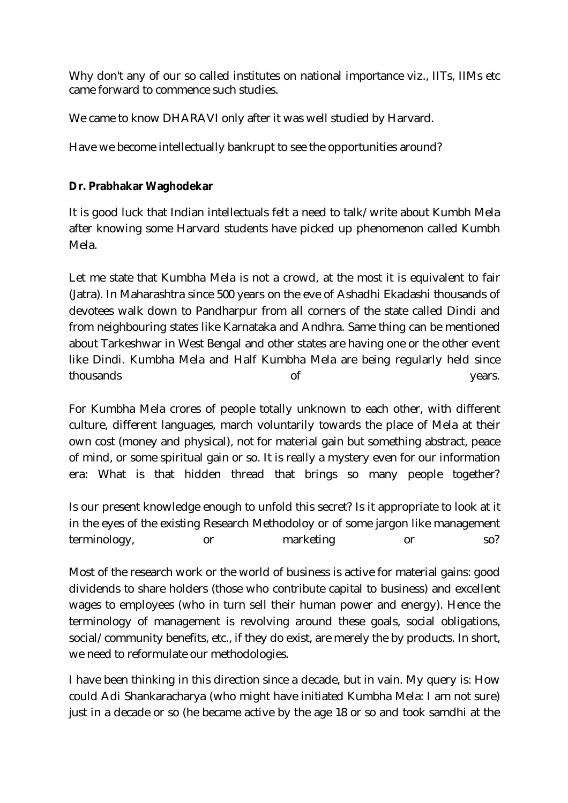Why don't any of our so called institutes on national importance viz., IITs, IIMs etc came forward to commence such studies.

We came to know DHARAVI only after it was well studied by Harvard.

Have we become intellectually bankrupt to see the opportunities around?

## **Dr. Prabhakar Waghodekar**

It is good luck that Indian intellectuals felt a need to talk/write about Kumbh Mela after knowing some Harvard students have picked up phenomenon called Kumbh Mela.

Let me state that Kumbha Mela is not a crowd, at the most it is equivalent to fair (Jatra). In Maharashtra since 500 years on the eve of Ashadhi Ekadashi thousands of devotees walk down to Pandharpur from all corners of the state called Dindi and from neighbouring states like Karnataka and Andhra. Same thing can be mentioned about Tarkeshwar in West Bengal and other states are having one or the other event like Dindi. Kumbha Mela and Half Kumbha Mela are being regularly held since thousands of years.

For Kumbha Mela crores of people totally unknown to each other, with different culture, different languages, march voluntarily towards the place of Mela at their own cost (money and physical), not for material gain but something abstract, peace of mind, or some spiritual gain or so. It is really a mystery even for our information era: What is that hidden thread that brings so many people together?

Is our present knowledge enough to unfold this secret? Is it appropriate to look at it in the eyes of the existing Research Methodoloy or of some jargon like management terminology, or marketing or so?

Most of the research work or the world of business is active for material gains: good dividends to share holders (those who contribute capital to business) and excellent wages to employees (who in turn sell their human power and energy). Hence the terminology of management is revolving around these goals, social obligations, social/community benefits, etc., if they do exist, are merely the by products. In short, we need to reformulate our methodologies.

I have been thinking in this direction since a decade, but in vain. My query is: How could Adi Shankaracharya (who might have initiated Kumbha Mela: I am not sure) just in a decade or so (he became active by the age 18 or so and took samdhi at the